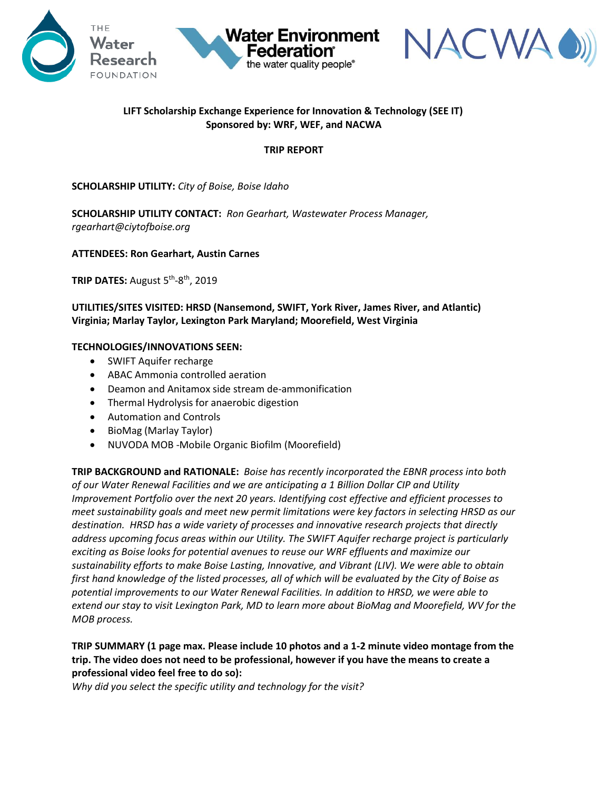



# **LIFT Scholarship Exchange Experience for Innovation & Technology (SEE IT) Sponsored by: WRF, WEF, and NACWA**

the water quality people®

#### **TRIP REPORT**

### **SCHOLARSHIP UTILITY:** *City of Boise, Boise Idaho*

**SCHOLARSHIP UTILITY CONTACT:** *Ron Gearhart, Wastewater Process Manager, rgearhart@ciytofboise.org*

#### **ATTENDEES: Ron Gearhart, Austin Carnes**

**TRIP DATES:** August 5th -8 th, 2019

**UTILITIES/SITES VISITED: HRSD (Nansemond, SWIFT, York River, James River, and Atlantic) Virginia; Marlay Taylor, Lexington Park Maryland; Moorefield, West Virginia**

#### **TECHNOLOGIES/INNOVATIONS SEEN:**

- SWIFT Aquifer recharge
- ABAC Ammonia controlled aeration
- Deamon and Anitamox side stream de-ammonification
- Thermal Hydrolysis for anaerobic digestion
- Automation and Controls
- BioMag (Marlay Taylor)
- NUVODA MOB -Mobile Organic Biofilm (Moorefield)

**TRIP BACKGROUND and RATIONALE:** *Boise has recently incorporated the EBNR process into both of our Water Renewal Facilities and we are anticipating a 1 Billion Dollar CIP and Utility Improvement Portfolio over the next 20 years. Identifying cost effective and efficient processes to meet sustainability goals and meet new permit limitations were key factors in selecting HRSD as our destination. HRSD has a wide variety of processes and innovative research projects that directly address upcoming focus areas within our Utility. The SWIFT Aquifer recharge project is particularly exciting as Boise looks for potential avenues to reuse our WRF effluents and maximize our sustainability efforts to make Boise Lasting, Innovative, and Vibrant (LIV). We were able to obtain first hand knowledge of the listed processes, all of which will be evaluated by the City of Boise as potential improvements to our Water Renewal Facilities. In addition to HRSD, we were able to extend our stay to visit Lexington Park, MD to learn more about BioMag and Moorefield, WV for the MOB process.*

## **TRIP SUMMARY (1 page max. Please include 10 photos and a 1-2 minute video montage from the trip. The video does not need to be professional, however if you have the means to create a professional video feel free to do so):**

*Why did you select the specific utility and technology for the visit?*